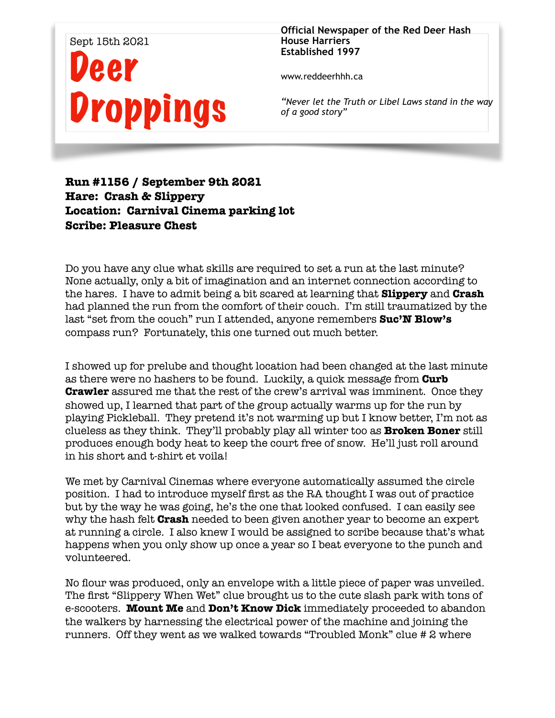## Sept 15th 2021 Deer **Droppings**

**Official Newspaper of the Red Deer Hash House Harriers Established 1997** 

www.reddeerhhh.ca

*"Never let the Truth or Libel Laws stand in the way of a good story"*

## **Run #1156 / September 9th 2021 Hare: Crash & Slippery Location: Carnival Cinema parking lot Scribe: Pleasure Chest**

Do you have any clue what skills are required to set a run at the last minute? None actually, only a bit of imagination and an internet connection according to the hares. I have to admit being a bit scared at learning that **Slippery** and **Crash**  had planned the run from the comfort of their couch. I'm still traumatized by the last "set from the couch" run I attended, anyone remembers **Suc'N Blow's** compass run? Fortunately, this one turned out much better.

I showed up for prelube and thought location had been changed at the last minute as there were no hashers to be found. Luckily, a quick message from **Curb Crawler** assured me that the rest of the crew's arrival was imminent. Once they showed up, I learned that part of the group actually warms up for the run by playing Pickleball. They pretend it's not warming up but I know better, I'm not as clueless as they think. They'll probably play all winter too as **Broken Boner** still produces enough body heat to keep the court free of snow. He'll just roll around in his short and t-shirt et voila!

We met by Carnival Cinemas where everyone automatically assumed the circle position. I had to introduce myself first as the RA thought I was out of practice but by the way he was going, he's the one that looked confused. I can easily see why the hash felt **Crash** needed to been given another year to become an expert at running a circle. I also knew I would be assigned to scribe because that's what happens when you only show up once a year so I beat everyone to the punch and volunteered.

No flour was produced, only an envelope with a little piece of paper was unveiled. The first "Slippery When Wet" clue brought us to the cute slash park with tons of e-scooters. **Mount Me** and **Don't Know Dick** immediately proceeded to abandon the walkers by harnessing the electrical power of the machine and joining the runners. Off they went as we walked towards "Troubled Monk" clue # 2 where